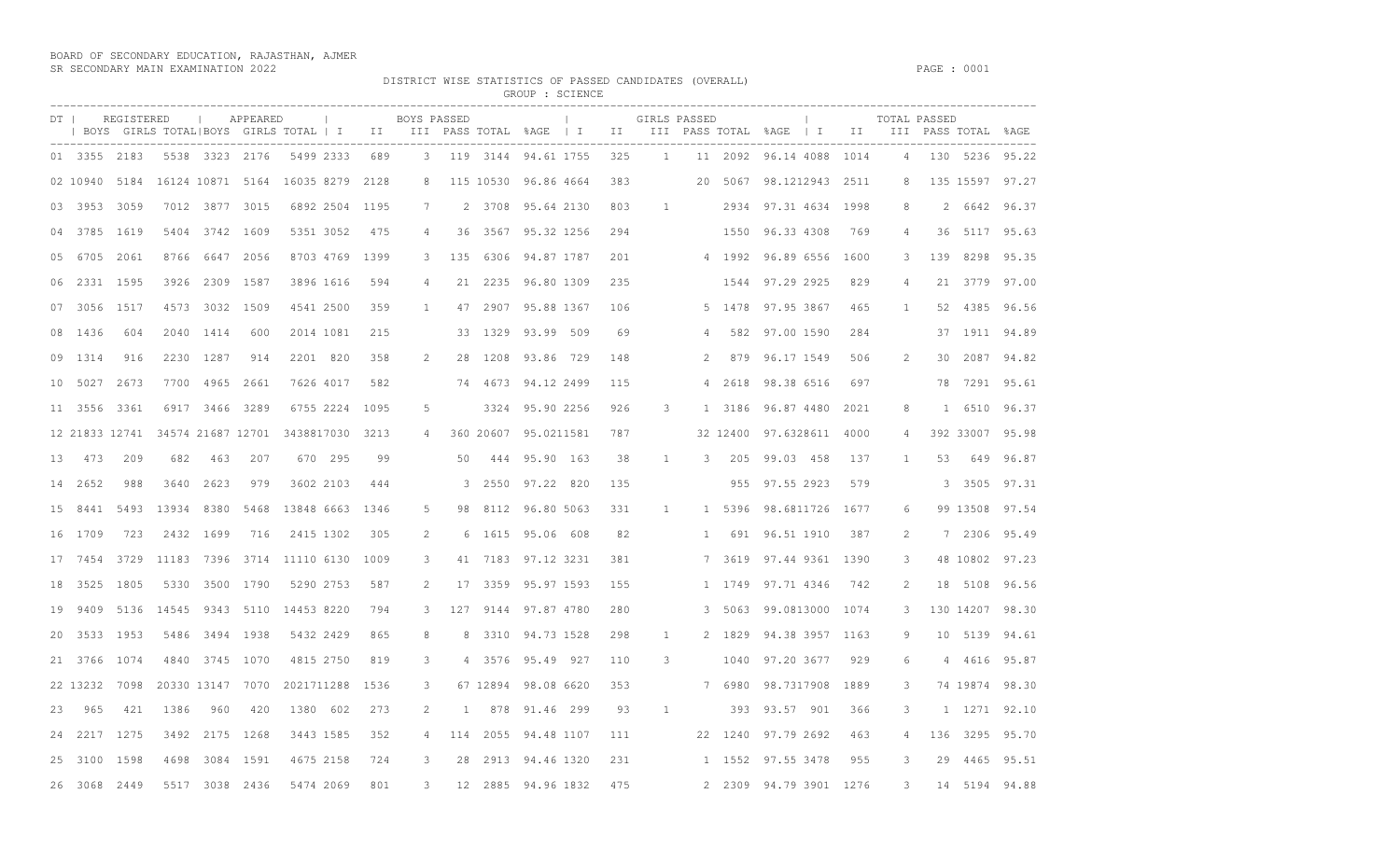BOARD OF SECONDARY EDUCATION, RAJASTHAN, AJMER SR SECONDARY MAIN EXAMINATION 2022 PAGE : 0001

DISTRICT WISE STATISTICS OF PASSED CANDIDATES (OVERALL)<br>GROUP : SCIENCE

| GKUUF | : SUILNU |
|-------|----------|
|       |          |

|     |              |           |            |                      |                  |           |                                                  |                 |      |                |     |           | GROUP : SCIENCE                  |     |                |              |         |                                                                                                                      |                          |      |              |                |                  |                 |
|-----|--------------|-----------|------------|----------------------|------------------|-----------|--------------------------------------------------|-----------------|------|----------------|-----|-----------|----------------------------------|-----|----------------|--------------|---------|----------------------------------------------------------------------------------------------------------------------|--------------------------|------|--------------|----------------|------------------|-----------------|
|     | $DT$         |           | REGISTERED |                      |                  | APPEARED  |                                                  | <b>Contract</b> |      | BOYS PASSED    |     |           | <b>Contract Contract Product</b> |     | GIRLS PASSED   |              |         | BOYS GIRLS TOTAL BOYS GIRLS TOTAL   I III III PASS TOTAL %AGE   I III III PASS TOTAL %AGE   I II III PASS TOTAL %AGE | <b>Contract Contract</b> |      | TOTAL PASSED |                |                  |                 |
|     |              |           |            |                      |                  |           |                                                  |                 |      |                |     |           |                                  |     |                |              |         |                                                                                                                      |                          |      |              |                | ---------------- |                 |
|     | 01 3355 2183 |           |            |                      | 5538 3323 2176   |           |                                                  | 5499 2333       | 689  |                |     |           | 3 119 3144 94.61 1755            | 325 | $\overline{1}$ |              |         | 11 2092 96.14 4088 1014                                                                                              |                          |      | 4            |                |                  | 130 5236 95.22  |
|     | 02 10940     |           | 5184       |                      |                  |           | 16124 10871 5164 16035 8279                      |                 | 2128 | 8              |     | 115 10530 | 96.86 4664                       | 383 |                |              | 20 5067 | 98.1212943 2511                                                                                                      |                          |      | 8            |                | 135 15597 97.27  |                 |
| 03. | 3953         |           | 3059       |                      | 7012 3877 3015   |           |                                                  | 6892 2504       | 1195 | 7              |     | 2 3708    | 95.64 2130                       | 803 | $\mathbf{1}$   |              |         | 2934 97.31 4634                                                                                                      |                          | 1998 | 8            | $\overline{2}$ |                  | 6642 96.37      |
| 04  |              | 3785 1619 |            |                      | 5404 3742 1609   |           |                                                  | 5351 3052       | 475  | 4              | 36  |           | 3567 95.32 1256                  | 294 |                |              |         | 1550 96.33 4308                                                                                                      |                          | 769  | 4            | 36             |                  | 5117 95.63      |
|     | 6705         |           | 2061       |                      | 8766 6647 2056   |           |                                                  | 8703 4769 1399  |      | 3              | 135 | 6306      | 94.87 1787                       | 201 |                |              |         | 4 1992 96.89 6556                                                                                                    |                          | 1600 | 3            | 139            | 8298             | 95.35           |
| 06  |              | 2331 1595 |            |                      | 3926 2309 1587   |           |                                                  | 3896 1616       | 594  | 4              |     | 21 2235   | 96.80 1309                       | 235 |                |              |         | 1544 97.29 2925                                                                                                      |                          | 829  | 4            |                | 21 3779 97.00    |                 |
| 07  |              | 3056 1517 |            |                      | 4573 3032 1509   |           |                                                  | 4541 2500       | 359  | $\mathbf{1}$   |     |           | 47 2907 95.88 1367               | 106 |                |              | 5 1478  | 97.95 3867                                                                                                           |                          | 465  | $\mathbf{1}$ | 52             |                  | 4385 96.56      |
| 08  | 1436         |           | 604        | 2040                 | 1414             | 600       |                                                  | 2014 1081       | 215  |                | 33  | 1329      | 93.99 509                        | 69  |                | -4           | 582     | 97.00 1590                                                                                                           |                          | 284  |              |                | 37 1911 94.89    |                 |
|     | 09 1314      |           | 916        |                      | 2230 1287        | 914       |                                                  | 2201 820        | 358  | 2              | 28  | 1208      | 93.86 729                        | 148 |                | 2            |         | 879 96.17 1549                                                                                                       |                          | 506  | 2            | 30             |                  | 2087 94.82      |
| 10  | 5027         |           | 2673       | 7700                 | 4965 2661        |           |                                                  | 7626 4017       | 582  |                |     |           | 74 4673 94.12 2499               | 115 |                | 4            |         | 2618 98.38 6516                                                                                                      |                          | 697  |              | 78             |                  | 7291 95.61      |
| 11  |              | 3556 3361 |            |                      | 6917 3466 3289   |           |                                                  | 6755 2224       | 1095 | -5             |     | 3324      | 95.90 2256                       | 926 | 3              |              |         | 1 3186 96.87 4480                                                                                                    |                          | 2021 | 8            | $\mathbf{1}$   | 6510             | 96.37           |
|     |              |           |            |                      |                  |           | 12 21833 12741 34574 21687 12701 3438817030 3213 |                 |      | 4              |     |           | 360 20607 95.0211581             | 787 |                |              |         | 32 12400 97.6328611                                                                                                  |                          | 4000 |              |                | 392 33007 95.98  |                 |
| 13  |              | 473       | 209        | 682                  | 463              | 207       |                                                  | 670 295         | 99   |                | 50  | 444       | 95.90 163                        | 38  | 1              | 3            | 205     | 99.03 458                                                                                                            |                          | 137  | 1            | 53             | 649              | 96.87           |
| 14  | 2652         |           | 988        | 3640                 | 2623             | 979       |                                                  | 3602 2103       | 444  |                | 3   | 2550      | 97.22 820                        | 135 |                |              |         | 955 97.55 2923                                                                                                       |                          | 579  |              | 3              | 3505             | 97.31           |
| 15  |              | 8441      | 5493       | 13934                |                  | 8380 5468 | 13848 6663 1346                                  |                 |      | .5             | 98  |           | 8112 96.80 5063                  | 331 | $\mathbf{1}$   |              | 1 5396  | 98.6811726 1677                                                                                                      |                          |      | 6            |                | 99 13508         | 97.54           |
|     | 1709         |           | 723        |                      | 2432 1699        | 716       |                                                  | 2415 1302       | 305  | 2              | 6   |           | 1615 95.06 608                   | 82  |                | $\mathbf{1}$ |         | 691 96.51 1910                                                                                                       |                          | 387  | 2            |                | 7 2306           | 95.49           |
| 17  |              | 7454      | 3729       |                      |                  |           | 11183 7396 3714 11110 6130                       |                 | 1009 | 3              |     |           | 41 7183 97.12 3231               | 381 |                |              |         | 7 3619 97.44 9361 1390                                                                                               |                          |      | 3            |                | 48 10802         | 97.23           |
| 18  |              | 3525 1805 |            |                      | 5330 3500 1790   |           |                                                  | 5290 2753       | 587  | 2              |     | 17 3359   | 95.97 1593                       | 155 |                |              |         | 1 1749 97.71 4346                                                                                                    |                          | 742  | 2            |                | 18 5108          | 96.56           |
| 19  | 9409         |           |            | 5136 14545 9343 5110 |                  |           | 14453 8220                                       |                 | 794  | 3              |     |           | 127 9144 97.87 4780              | 280 |                | 3            |         | 5063 99.0813000 1074                                                                                                 |                          |      | 3            |                |                  | 130 14207 98.30 |
| 20  |              | 3533 1953 |            |                      | 5486 3494 1938   |           |                                                  | 5432 2429       | 865  | 8              | 8   | 3310      | 94.73 1528                       | 298 | $\mathbf{1}$   |              |         | 2 1829 94.38 3957 1163                                                                                               |                          |      | 9            |                | 10 5139          | 94.61           |
| 21  |              | 3766 1074 |            |                      | 4840 3745 1070   |           |                                                  | 4815 2750       | 819  | 3              |     |           | 4 3576 95.49 927                 | 110 | 3              |              | 1040    | 97.20 3677                                                                                                           |                          | 929  | 6            |                | 4 4616 95.87     |                 |
|     | 22 13232     |           | 7098       |                      | 20330 13147 7070 |           | 2021711288                                       |                 | 1536 | 3              |     |           | 67 12894 98.08 6620              | 353 |                |              | 7 6980  | 98.7317908                                                                                                           |                          | 1889 | 3            |                |                  | 74 19874 98.30  |
| 23  |              | 965       | 421        | 1386                 | 960              | 420       |                                                  | 1380 602        | 273  | 2              | 1   | 878       | 91.46 299                        | 93  | 1              |              | 393     | 93.57 901                                                                                                            |                          | 366  | 3            |                | 1 1271 92.10     |                 |
| 24  |              | 2217 1275 |            |                      | 3492 2175 1268   |           |                                                  | 3443 1585       | 352  | $\overline{4}$ |     | 114 2055  | 94.48 1107                       | 111 |                |              |         | 22 1240 97.79 2692                                                                                                   |                          | 463  | 4            |                | 136 3295 95.70   |                 |
| 25  |              | 3100 1598 |            | 4698                 |                  | 3084 1591 |                                                  | 4675 2158       | 724  | 3              | 28  |           | 2913 94.46 1320                  | 231 |                |              | 1 1552  | 97.55 3478                                                                                                           |                          | 955  | 3            | 29             |                  | 4465 95.51      |
|     | 3068<br>26   |           | 2449       | 5517                 |                  | 3038 2436 |                                                  | 5474 2069       | 801  | 3              |     |           | 12 2885 94.96 1832               | 475 |                |              |         | 2 2309 94.79 3901 1276                                                                                               |                          |      | 3            |                | 14 5194 94.88    |                 |